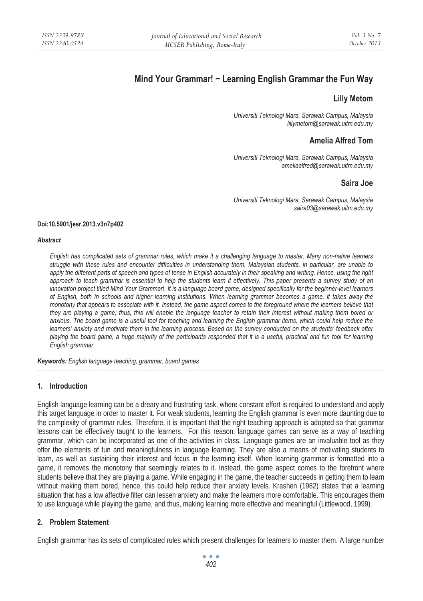# **Mind Your Grammar! î Learning English Grammar the Fun Way**

# **Lilly Metom**

*Universiti Teknologi Mara, Sarawak Campus, Malaysia lillymetom@sarawak.uitm.edu.my* 

# **Amelia Alfred Tom**

*Universiti Teknologi Mara, Sarawak Campus, Malaysia ameliaalfred@sarawak.uitm.edu.my* 

# **Saira Joe**

*Universiti Teknologi Mara, Sarawak Campus, Malaysia saira03@sarawak.uitm.edu.my* 

#### **Doi:10.5901/jesr.2013.v3n7p402**

#### *Abstract*

*English has complicated sets of grammar rules, which make it a challenging language to master. Many non-native learners struggle with these rules and encounter difficulties in understanding them. Malaysian students, in particular, are unable to apply the different parts of speech and types of tense in English accurately in their speaking and writing. Hence, using the right approach to teach grammar is essential to help the students learn it effectively. This paper presents a survey study of an innovation project titled Mind Your Grammar!. It is a language board game, designed specifically for the beginner-level learners of English, both in schools and higher learning institutions. When learning grammar becomes a game, it takes away the monotony that appears to associate with it. Instead, the game aspect comes to the foreground where the learners believe that they are playing a game; thus, this will enable the language teacher to retain their interest without making them bored or*  anxious. The board game is a useful tool for teaching and learning the English grammar items, which could help reduce the *learners' anxiety and motivate them in the learning process. Based on the survey conducted on the students' feedback after playing the board game, a huge majority of the participants responded that it is a useful, practical and fun tool for learning English grammar.* 

*Keywords: English language teaching, grammar, board games* 

#### **1. Introduction**

English language learning can be a dreary and frustrating task, where constant effort is required to understand and apply this target language in order to master it. For weak students, learning the English grammar is even more daunting due to the complexity of grammar rules. Therefore, it is important that the right teaching approach is adopted so that grammar lessons can be effectively taught to the learners. For this reason, language games can serve as a way of teaching grammar, which can be incorporated as one of the activities in class. Language games are an invaluable tool as they offer the elements of fun and meaningfulness in language learning. They are also a means of motivating students to learn, as well as sustaining their interest and focus in the learning itself. When learning grammar is formatted into a game, it removes the monotony that seemingly relates to it. Instead, the game aspect comes to the forefront where students believe that they are playing a game. While engaging in the game, the teacher succeeds in getting them to learn without making them bored, hence, this could help reduce their anxiety levels. Krashen (1982) states that a learning situation that has a low affective filter can lessen anxiety and make the learners more comfortable. This encourages them to use language while playing the game, and thus, making learning more effective and meaningful (Littlewood, 1999).

#### **2. Problem Statement**

English grammar has its sets of complicated rules which present challenges for learners to master them. A large number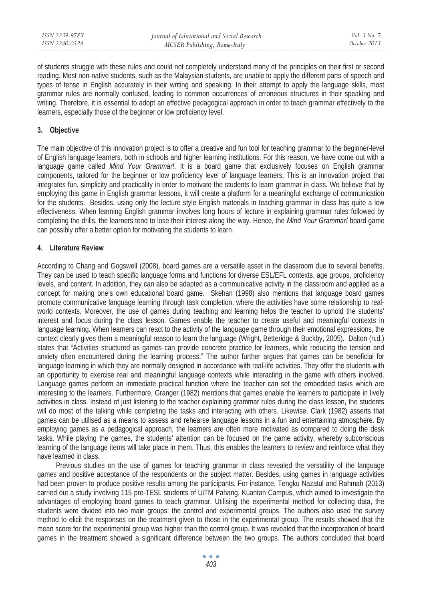of students struggle with these rules and could not completely understand many of the principles on their first or second reading. Most non-native students, such as the Malaysian students, are unable to apply the different parts of speech and types of tense in English accurately in their writing and speaking. In their attempt to apply the language skills, most grammar rules are normally confused, leading to common occurrences of erroneous structures in their speaking and writing. Therefore, it is essential to adopt an effective pedagogical approach in order to teach grammar effectively to the learners, especially those of the beginner or low proficiency level.

# **3. Objective**

The main objective of this innovation project is to offer a creative and fun tool for teaching grammar to the beginner-level of English language learners, both in schools and higher learning institutions. For this reason, we have come out with a language game called *Mind Your Grammar!*. It is a board game that exclusively focuses on English grammar components, tailored for the beginner or low proficiency level of language learners. This is an innovation project that integrates fun, simplicity and practicality in order to motivate the students to learn grammar in class. We believe that by employing this game in English grammar lessons, it will create a platform for a meaningful exchange of communication for the students. Besides, using only the lecture style English materials in teaching grammar in class has quite a low effectiveness. When learning English grammar involves long hours of lecture in explaining grammar rules followed by completing the drills, the learners tend to lose their interest along the way. Hence, the *Mind Your Grammar!* board game can possibly offer a better option for motivating the students to learn.

# **4. Literature Review**

According to Chang and Gogswell (2008), board games are a versatile asset in the classroom due to several benefits. They can be used to teach specific language forms and functions for diverse ESL/EFL contexts, age groups, proficiency levels, and content. In addition, they can also be adapted as a communicative activity in the classroom and applied as a concept for making one's own educational board game. Skehan (1998) also mentions that language board games promote communicative language learning through task completion, where the activities have some relationship to realworld contexts. Moreover, the use of games during teaching and learning helps the teacher to uphold the students' interest and focus during the class lesson. Games enable the teacher to create useful and meaningful contexts in language learning. When learners can react to the activity of the language game through their emotional expressions, the context clearly gives them a meaningful reason to learn the language (Wright, Betteridge & Buckby, 2005). Dalton (n.d.) states that "Activities structured as games can provide concrete practice for learners, while reducing the tension and anxiety often encountered during the learning process." The author further argues that games can be beneficial for language learning in which they are normally designed in accordance with real-life activities. They offer the students with an opportunity to exercise real and meaningful language contexts while interacting in the game with others involved. Language games perform an immediate practical function where the teacher can set the embedded tasks which are interesting to the learners. Furthermore, Granger (1982) mentions that games enable the learners to participate in lively activities in class. Instead of just listening to the teacher explaining grammar rules during the class lesson, the students will do most of the talking while completing the tasks and interacting with others. Likewise, Clark (1982) asserts that games can be utilised as a means to assess and rehearse language lessons in a fun and entertaining atmosphere. By employing games as a pedagogical approach, the learners are often more motivated as compared to doing the desk tasks. While playing the games, the students' attention can be focused on the game activity, whereby subconscious learning of the language items will take place in them. Thus, this enables the learners to review and reinforce what they have learned in class.

Previous studies on the use of games for teaching grammar in class revealed the versatility of the language games and positive acceptance of the respondents on the subject matter. Besides, using games in language activities had been proven to produce positive results among the participants. For instance, Tengku Nazatul and Rahmah (2013) carried out a study involving 115 pre-TESL students of UiTM Pahang, Kuantan Campus, which aimed to investigate the advantages of employing board games to teach grammar. Utilising the experimental method for collecting data, the students were divided into two main groups: the control and experimental groups. The authors also used the survey method to elicit the responses on the treatment given to those in the experimental group. The results showed that the mean score for the experimental group was higher than the control group. It was revealed that the incorporation of board games in the treatment showed a significant difference between the two groups. The authors concluded that board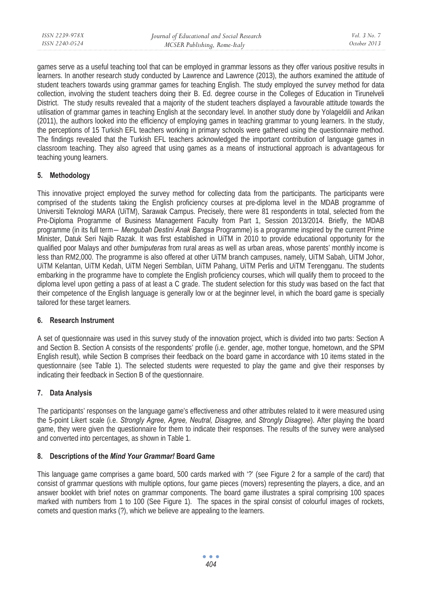games serve as a useful teaching tool that can be employed in grammar lessons as they offer various positive results in learners. In another research study conducted by Lawrence and Lawrence (2013), the authors examined the attitude of student teachers towards using grammar games for teaching English. The study employed the survey method for data collection, involving the student teachers doing their B. Ed. degree course in the Colleges of Education in Tirunelveli District. The study results revealed that a majority of the student teachers displayed a favourable attitude towards the utilisation of grammar games in teaching English at the secondary level. In another study done by Yolageldili and Arikan (2011), the authors looked into the efficiency of employing games in teaching grammar to young learners. In the study, the perceptions of 15 Turkish EFL teachers working in primary schools were gathered using the questionnaire method. The findings revealed that the Turkish EFL teachers acknowledged the important contribution of language games in classroom teaching. They also agreed that using games as a means of instructional approach is advantageous for teaching young learners.

# **5. Methodology**

This innovative project employed the survey method for collecting data from the participants. The participants were comprised of the students taking the English proficiency courses at pre-diploma level in the MDAB programme of Universiti Teknologi MARA (UiTM), Sarawak Campus. Precisely, there were 81 respondents in total, selected from the Pre-Diploma Programme of Business Management Faculty from Part 1, Session 2013/2014. Briefly, the MDAB programme (in its full term— *Mengubah Destini Anak Bangsa* Programme) is a programme inspired by the current Prime Minister, Datuk Seri Najib Razak. It was first established in UiTM in 2010 to provide educational opportunity for the qualified poor Malays and other *bumiputeras* from rural areas as well as urban areas, whose parents' monthly income is less than RM2,000. The programme is also offered at other UiTM branch campuses, namely, UiTM Sabah, UiTM Johor, UiTM Kelantan, UiTM Kedah, UiTM Negeri Sembilan, UiTM Pahang, UiTM Perlis and UiTM Terengganu. The students embarking in the programme have to complete the English proficiency courses, which will qualify them to proceed to the diploma level upon getting a pass of at least a C grade. The student selection for this study was based on the fact that their competence of the English language is generally low or at the beginner level, in which the board game is specially tailored for these target learners.

# **6. Research Instrument**

A set of questionnaire was used in this survey study of the innovation project, which is divided into two parts: Section A and Section B. Section A consists of the respondents' profile (i.e. gender, age, mother tongue, hometown, and the SPM English result), while Section B comprises their feedback on the board game in accordance with 10 items stated in the questionnaire (see Table 1). The selected students were requested to play the game and give their responses by indicating their feedback in Section B of the questionnaire.

# **7. Data Analysis**

The participants' responses on the language game's effectiveness and other attributes related to it were measured using the 5-point Likert scale (i.e. *Strongly Agree, Agree, Neutral, Disagree,* and *Strongly Disagree*). After playing the board game, they were given the questionnaire for them to indicate their responses. The results of the survey were analysed and converted into percentages, as shown in Table 1.

# **8. Descriptions of the** *Mind Your Grammar!* **Board Game**

This language game comprises a game board, 500 cards marked with '?' (see Figure 2 for a sample of the card) that consist of grammar questions with multiple options, four game pieces (movers) representing the players, a dice, and an answer booklet with brief notes on grammar components. The board game illustrates a spiral comprising 100 spaces marked with numbers from 1 to 100 (See Figure 1). The spaces in the spiral consist of colourful images of rockets, comets and question marks (?), which we believe are appealing to the learners.

> $\bullet$   $\bullet$   $\bullet$ *404*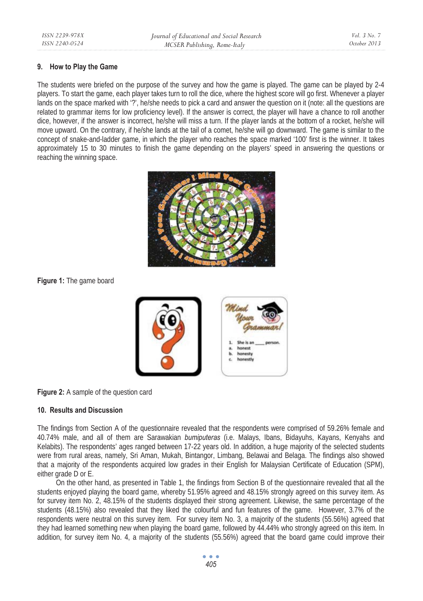#### **9. How to Play the Game**

The students were briefed on the purpose of the survey and how the game is played. The game can be played by 2-4 players. To start the game, each player takes turn to roll the dice, where the highest score will go first. Whenever a player lands on the space marked with '?', he/she needs to pick a card and answer the question on it (note: all the questions are related to grammar items for low proficiency level). If the answer is correct, the player will have a chance to roll another dice, however, if the answer is incorrect, he/she will miss a turn. If the player lands at the bottom of a rocket, he/she will move upward. On the contrary, if he/she lands at the tail of a comet, he/she will go downward. The game is similar to the concept of snake-and-ladder game, in which the player who reaches the space marked '100' first is the winner. It takes approximately 15 to 30 minutes to finish the game depending on the players' speed in answering the questions or reaching the winning space.



**Figure 1:** The game board



**Figure 2:** A sample of the question card

# **10. Results and Discussion**

The findings from Section A of the questionnaire revealed that the respondents were comprised of 59.26% female and 40.74% male, and all of them are Sarawakian *bumiputeras* (i.e. Malays, Ibans, Bidayuhs, Kayans, Kenyahs and Kelabits). The respondents' ages ranged between 17-22 years old. In addition, a huge majority of the selected students were from rural areas, namely, Sri Aman, Mukah, Bintangor, Limbang, Belawai and Belaga. The findings also showed that a majority of the respondents acquired low grades in their English for Malaysian Certificate of Education (SPM), either grade D or E.

On the other hand, as presented in Table 1, the findings from Section B of the questionnaire revealed that all the students enjoyed playing the board game, whereby 51.95% agreed and 48.15% strongly agreed on this survey item. As for survey item No. 2, 48.15% of the students displayed their strong agreement. Likewise, the same percentage of the students (48.15%) also revealed that they liked the colourful and fun features of the game. However, 3.7% of the respondents were neutral on this survey item. For survey item No. 3, a majority of the students (55.56%) agreed that they had learned something new when playing the board game, followed by 44.44% who strongly agreed on this item. In addition, for survey item No. 4, a majority of the students (55.56%) agreed that the board game could improve their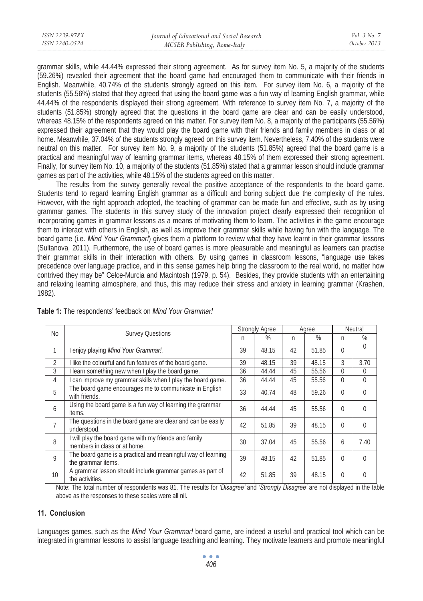| ISSN 2239-978X | Journal of Educational and Social Research | Vol. 3 No. 7 |
|----------------|--------------------------------------------|--------------|
| ISSN 2240-0524 | MCSER Publishing, Rome-Italy               | October 2013 |
|                |                                            |              |

grammar skills, while 44.44% expressed their strong agreement. As for survey item No. 5, a majority of the students (59.26%) revealed their agreement that the board game had encouraged them to communicate with their friends in English. Meanwhile, 40.74% of the students strongly agreed on this item. For survey item No. 6, a majority of the students (55.56%) stated that they agreed that using the board game was a fun way of learning English grammar, while 44.44% of the respondents displayed their strong agreement. With reference to survey item No. 7, a majority of the students (51.85%) strongly agreed that the questions in the board game are clear and can be easily understood, whereas 48.15% of the respondents agreed on this matter. For survey item No. 8, a majority of the participants (55.56%) expressed their agreement that they would play the board game with their friends and family members in class or at home. Meanwhile, 37.04% of the students strongly agreed on this survey item. Nevertheless, 7.40% of the students were neutral on this matter. For survey item No. 9, a majority of the students (51.85%) agreed that the board game is a practical and meaningful way of learning grammar items, whereas 48.15% of them expressed their strong agreement. Finally, for survey item No. 10, a majority of the students (51.85%) stated that a grammar lesson should include grammar games as part of the activities, while 48.15% of the students agreed on this matter.

The results from the survey generally reveal the positive acceptance of the respondents to the board game. Students tend to regard learning English grammar as a difficult and boring subject due the complexity of the rules. However, with the right approach adopted, the teaching of grammar can be made fun and effective, such as by using grammar games. The students in this survey study of the innovation project clearly expressed their recognition of incorporating games in grammar lessons as a means of motivating them to learn. The activities in the game encourage them to interact with others in English, as well as improve their grammar skills while having fun with the language. The board game (i.e. *Mind Your Grammar!*) gives them a platform to review what they have learnt in their grammar lessons (Sultanova, 2011). Furthermore, the use of board games is more pleasurable and meaningful as learners can practise their grammar skills in their interaction with others. By using games in classroom lessons, "language use takes precedence over language practice, and in this sense games help bring the classroom to the real world, no matter how contrived they may be" Celce-Murcia and Macintosh (1979, p. 54). Besides, they provide students with an entertaining and relaxing learning atmosphere, and thus, this may reduce their stress and anxiety in learning grammar (Krashen, 1982).

| No             | <b>Survey Questions</b>                                                               | <b>Strongly Agree</b> |       | Aaree |       | Neutral  |          |
|----------------|---------------------------------------------------------------------------------------|-----------------------|-------|-------|-------|----------|----------|
|                |                                                                                       |                       | %     | n     | $\%$  | n        | %        |
|                | I enjoy playing Mind Your Grammar!.                                                   | 39                    | 48.15 | 42    | 51.85 | $\Omega$ | $\Omega$ |
| $\overline{2}$ | I like the colourful and fun features of the board game.                              | 39                    | 48.15 | 39    | 48.15 | 3        | 3.70     |
| 3              | I learn something new when I play the board game.                                     | 36                    | 44.44 | 45    | 55.56 | 0        | $\Omega$ |
| 4              | can improve my grammar skills when I play the board game.                             | 36                    | 44.44 | 45    | 55.56 | $\Omega$ | $\Omega$ |
| 5              | The board game encourages me to communicate in English<br>with friends.               | 33                    | 40.74 | 48    | 59.26 | $\Omega$ | $\Omega$ |
| 6              | Using the board game is a fun way of learning the grammar<br>items.                   | 36                    | 44.44 | 45    | 55.56 | $\Omega$ | $\Omega$ |
| 7              | The questions in the board game are clear and can be easily<br>understood.            | 42                    | 51.85 | 39    | 48.15 | $\Omega$ | $\Omega$ |
| 8              | I will play the board game with my friends and family<br>members in class or at home. | 30                    | 37.04 | 45    | 55.56 | 6        | 7.40     |
| 9              | The board game is a practical and meaningful way of learning<br>the grammar items.    | 39                    | 48.15 | 42    | 51.85 | $\Omega$ | $\Omega$ |
| 10             | A grammar lesson should include grammar games as part of<br>the activities.           | 42                    | 51.85 | 39    | 48.15 | 0        | $\Omega$ |

**Table 1:** The respondents' feedback on *Mind Your Grammar!* 

Note: The total number of respondents was 81. The results for *'Disagree'* and *'Strongly Disagree'* are not displayed in the table above as the responses to these scales were all nil.

#### **11. Conclusion**

Languages games, such as the *Mind Your Grammar!* board game, are indeed a useful and practical tool which can be integrated in grammar lessons to assist language teaching and learning. They motivate learners and promote meaningful